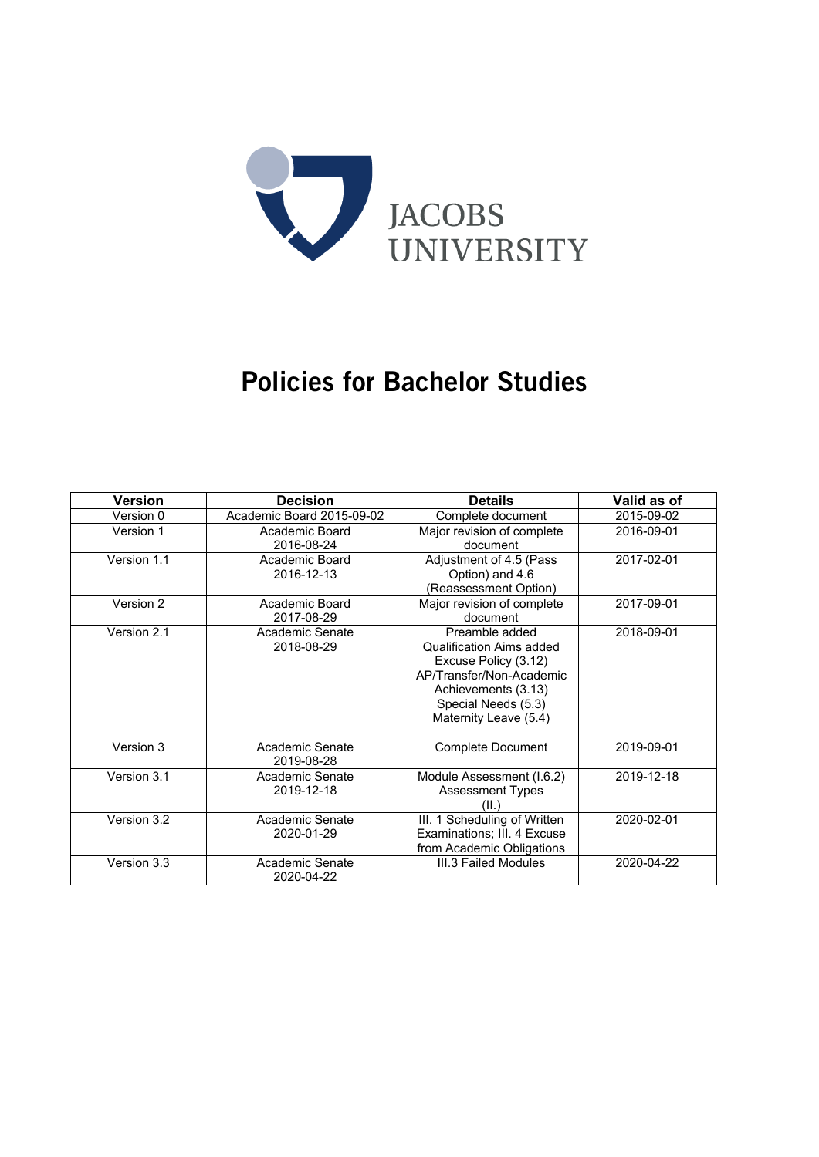

# Policies for Bachelor Studies

| <b>Version</b> | <b>Decision</b>               | <b>Details</b>                                                                                                                                                        | Valid as of |
|----------------|-------------------------------|-----------------------------------------------------------------------------------------------------------------------------------------------------------------------|-------------|
| Version 0      | Academic Board 2015-09-02     | Complete document                                                                                                                                                     | 2015-09-02  |
| Version 1      | Academic Board<br>2016-08-24  | Major revision of complete<br>document                                                                                                                                | 2016-09-01  |
| Version 1.1    | Academic Board<br>2016-12-13  | Adjustment of 4.5 (Pass<br>Option) and 4.6<br>(Reassessment Option)                                                                                                   | 2017-02-01  |
| Version 2      | Academic Board<br>2017-08-29  | Major revision of complete<br>document                                                                                                                                | 2017-09-01  |
| Version 2.1    | Academic Senate<br>2018-08-29 | Preamble added<br>Qualification Aims added<br>Excuse Policy (3.12)<br>AP/Transfer/Non-Academic<br>Achievements (3.13)<br>Special Needs (5.3)<br>Maternity Leave (5.4) | 2018-09-01  |
| Version 3      | Academic Senate<br>2019-08-28 | <b>Complete Document</b>                                                                                                                                              | 2019-09-01  |
| Version 3.1    | Academic Senate<br>2019-12-18 | Module Assessment (I.6.2)<br><b>Assessment Types</b><br>(II.'                                                                                                         | 2019-12-18  |
| Version 3.2    | Academic Senate<br>2020-01-29 | III. 1 Scheduling of Written<br>Examinations; III. 4 Excuse<br>from Academic Obligations                                                                              | 2020-02-01  |
| Version 3.3    | Academic Senate<br>2020-04-22 | III.3 Failed Modules                                                                                                                                                  | 2020-04-22  |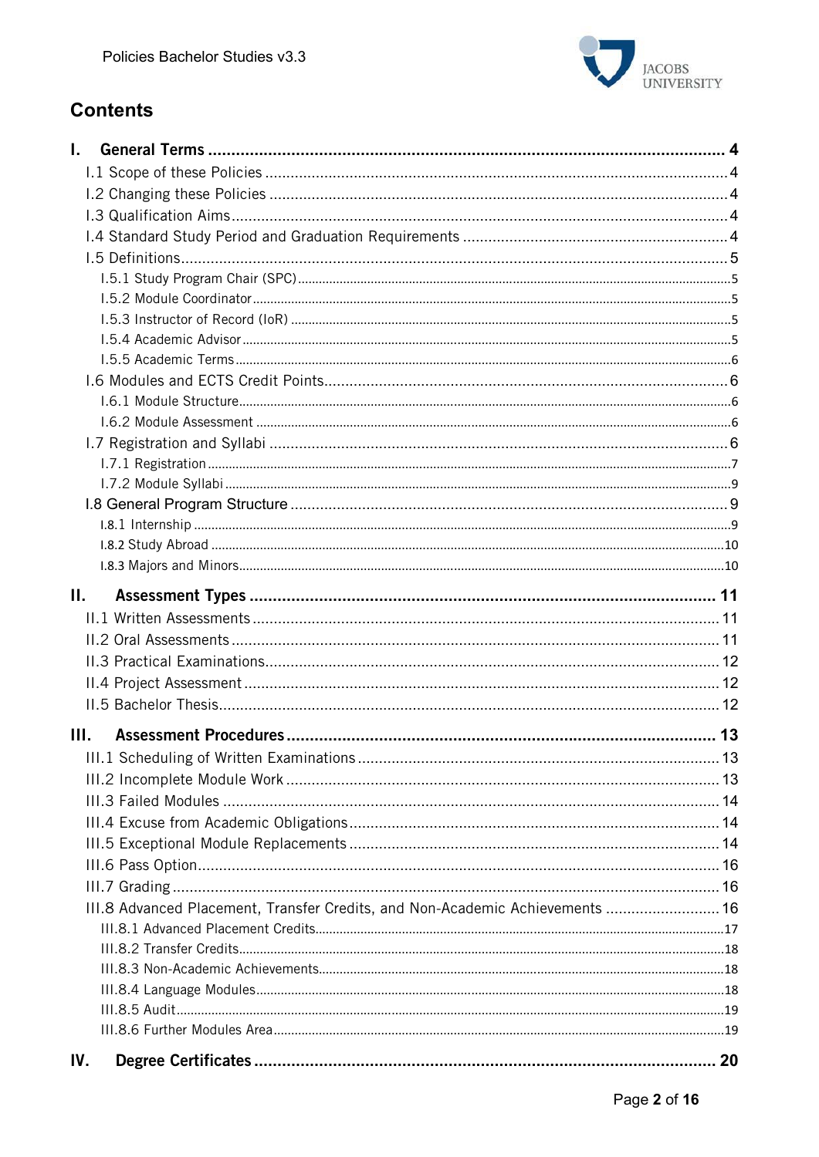

# **Contents**

| L.  |                                                                               |    |
|-----|-------------------------------------------------------------------------------|----|
|     |                                                                               |    |
|     |                                                                               |    |
|     |                                                                               |    |
|     |                                                                               |    |
|     |                                                                               |    |
|     |                                                                               |    |
|     |                                                                               |    |
|     |                                                                               |    |
|     |                                                                               |    |
|     |                                                                               |    |
|     |                                                                               |    |
|     |                                                                               |    |
|     |                                                                               |    |
|     |                                                                               |    |
|     |                                                                               |    |
|     |                                                                               |    |
|     |                                                                               |    |
|     |                                                                               |    |
|     |                                                                               |    |
|     |                                                                               |    |
| П.  |                                                                               |    |
|     |                                                                               |    |
|     |                                                                               |    |
|     |                                                                               |    |
|     |                                                                               |    |
|     |                                                                               |    |
| Ш.  |                                                                               |    |
|     |                                                                               |    |
|     |                                                                               |    |
|     |                                                                               |    |
|     |                                                                               |    |
|     |                                                                               |    |
|     |                                                                               |    |
|     |                                                                               |    |
|     |                                                                               |    |
|     | III.8 Advanced Placement, Transfer Credits, and Non-Academic Achievements  16 |    |
|     |                                                                               |    |
|     |                                                                               |    |
|     |                                                                               |    |
|     |                                                                               |    |
|     |                                                                               |    |
|     |                                                                               |    |
| IV. |                                                                               | 20 |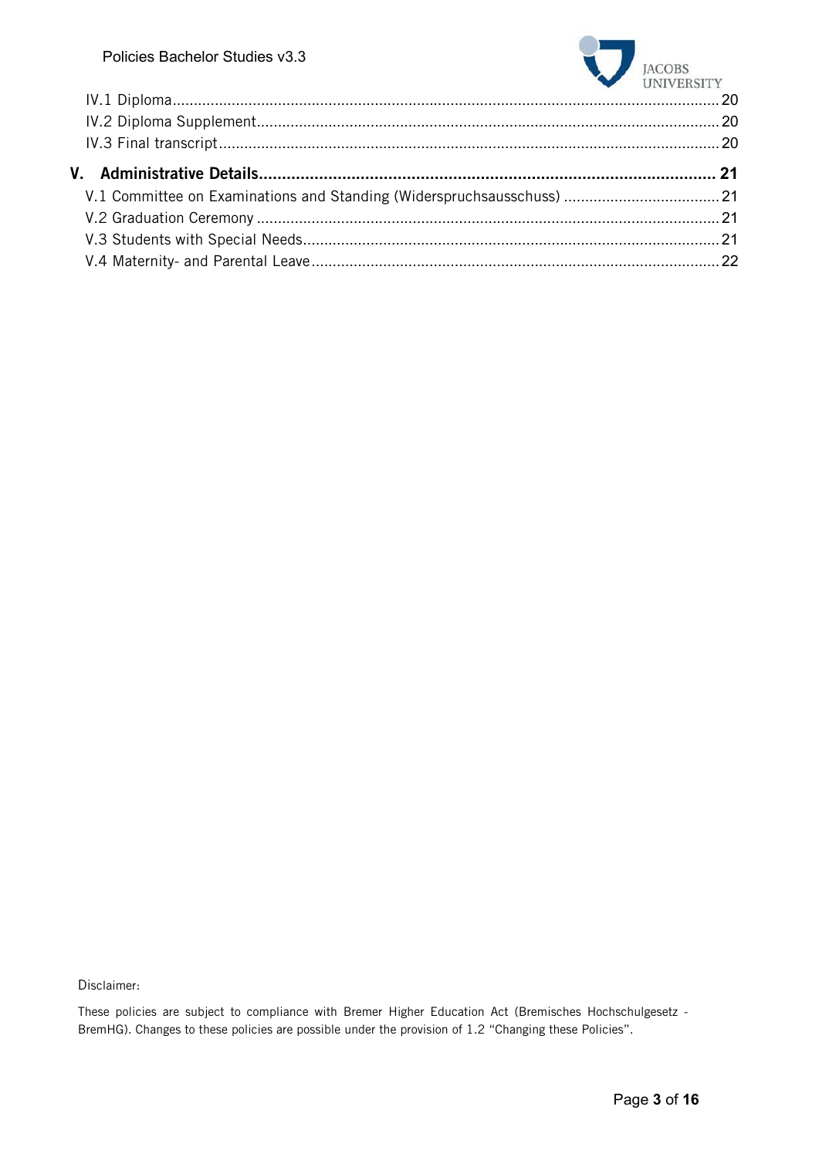

Disclaimer:

These policies are subject to compliance with Bremer Higher Education Act (Bremisches Hochschulgesetz - BremHG). Changes to these policies are possible under the provision of 1.2 "Changing these Policies".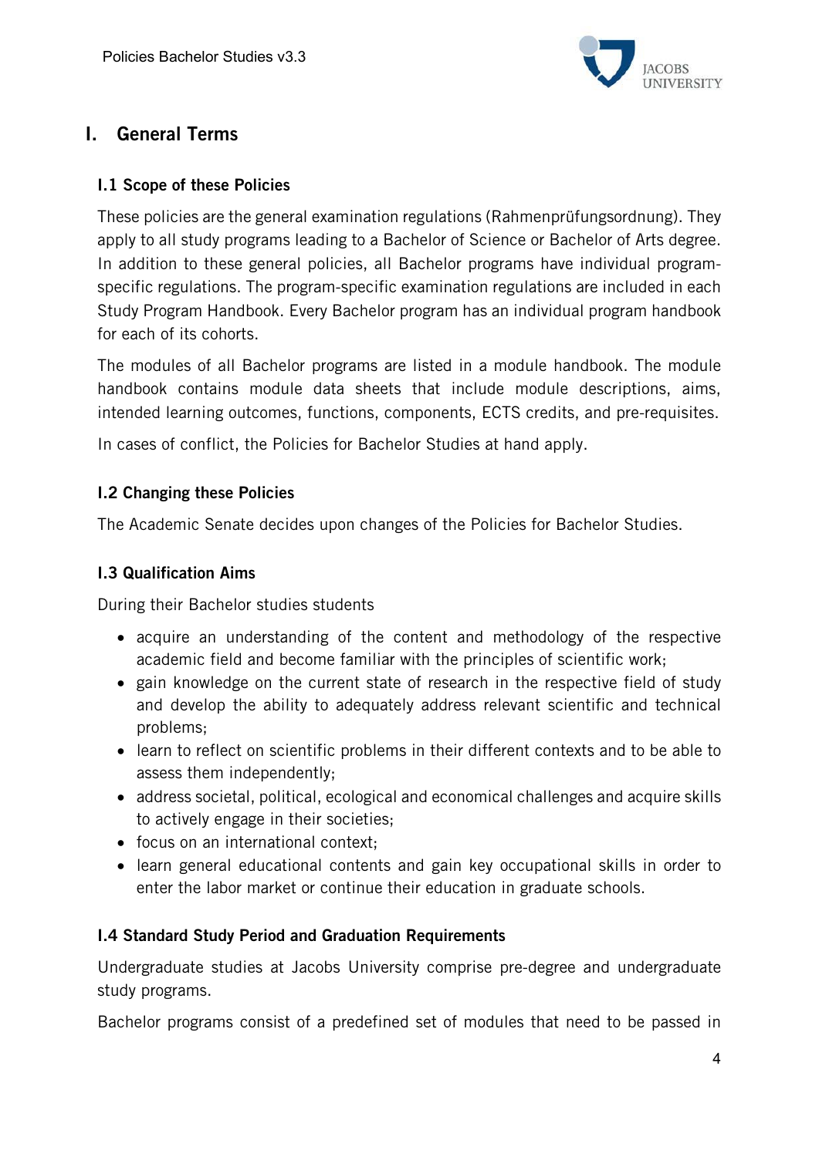

# I. General Terms

### I.1 Scope of these Policies

These policies are the general examination regulations (Rahmenprüfungsordnung). They apply to all study programs leading to a Bachelor of Science or Bachelor of Arts degree. In addition to these general policies, all Bachelor programs have individual programspecific regulations. The program-specific examination regulations are included in each Study Program Handbook. Every Bachelor program has an individual program handbook for each of its cohorts.

The modules of all Bachelor programs are listed in a module handbook. The module handbook contains module data sheets that include module descriptions, aims, intended learning outcomes, functions, components, ECTS credits, and pre-requisites.

In cases of conflict, the Policies for Bachelor Studies at hand apply.

## I.2 Changing these Policies

The Academic Senate decides upon changes of the Policies for Bachelor Studies.

## I.3 Qualification Aims

During their Bachelor studies students

- acquire an understanding of the content and methodology of the respective academic field and become familiar with the principles of scientific work;
- gain knowledge on the current state of research in the respective field of study and develop the ability to adequately address relevant scientific and technical problems;
- learn to reflect on scientific problems in their different contexts and to be able to assess them independently;
- address societal, political, ecological and economical challenges and acquire skills to actively engage in their societies;
- focus on an international context;
- learn general educational contents and gain key occupational skills in order to enter the labor market or continue their education in graduate schools.

### I.4 Standard Study Period and Graduation Requirements

Undergraduate studies at Jacobs University comprise pre-degree and undergraduate study programs.

Bachelor programs consist of a predefined set of modules that need to be passed in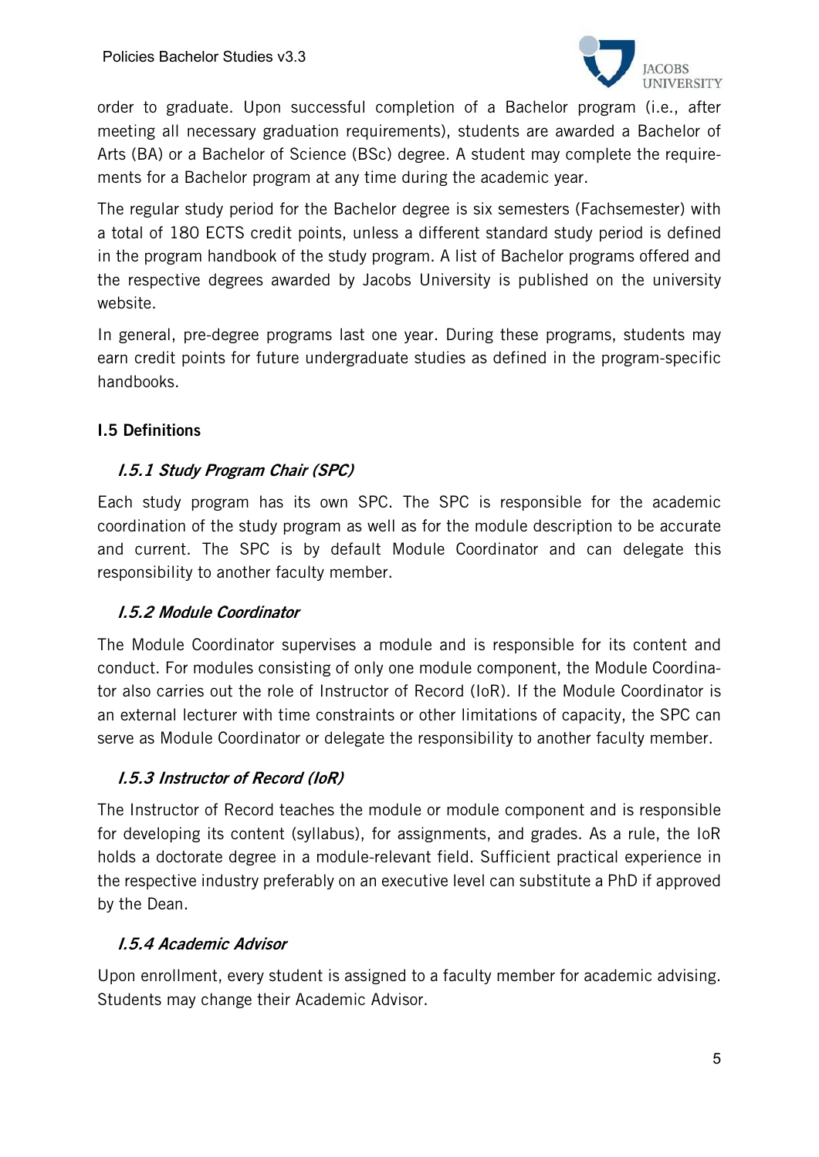

order to graduate. Upon successful completion of a Bachelor program (i.e., after meeting all necessary graduation requirements), students are awarded a Bachelor of Arts (BA) or a Bachelor of Science (BSc) degree. A student may complete the requirements for a Bachelor program at any time during the academic year.

The regular study period for the Bachelor degree is six semesters (Fachsemester) with a total of 180 ECTS credit points, unless a different standard study period is defined in the program handbook of the study program. A list of Bachelor programs offered and the respective degrees awarded by Jacobs University is published on the university website.

In general, pre-degree programs last one year. During these programs, students may earn credit points for future undergraduate studies as defined in the program-specific handbooks.

# I.5 Definitions

## I.5.1 Study Program Chair (SPC)

Each study program has its own SPC. The SPC is responsible for the academic coordination of the study program as well as for the module description to be accurate and current. The SPC is by default Module Coordinator and can delegate this responsibility to another faculty member.

### I.5.2 Module Coordinator

The Module Coordinator supervises a module and is responsible for its content and conduct. For modules consisting of only one module component, the Module Coordinator also carries out the role of Instructor of Record (IoR). If the Module Coordinator is an external lecturer with time constraints or other limitations of capacity, the SPC can serve as Module Coordinator or delegate the responsibility to another faculty member.

### I.5.3 Instructor of Record (IoR)

The Instructor of Record teaches the module or module component and is responsible for developing its content (syllabus), for assignments, and grades. As a rule, the IoR holds a doctorate degree in a module-relevant field. Sufficient practical experience in the respective industry preferably on an executive level can substitute a PhD if approved by the Dean.

### I.5.4 Academic Advisor

Upon enrollment, every student is assigned to a faculty member for academic advising. Students may change their Academic Advisor.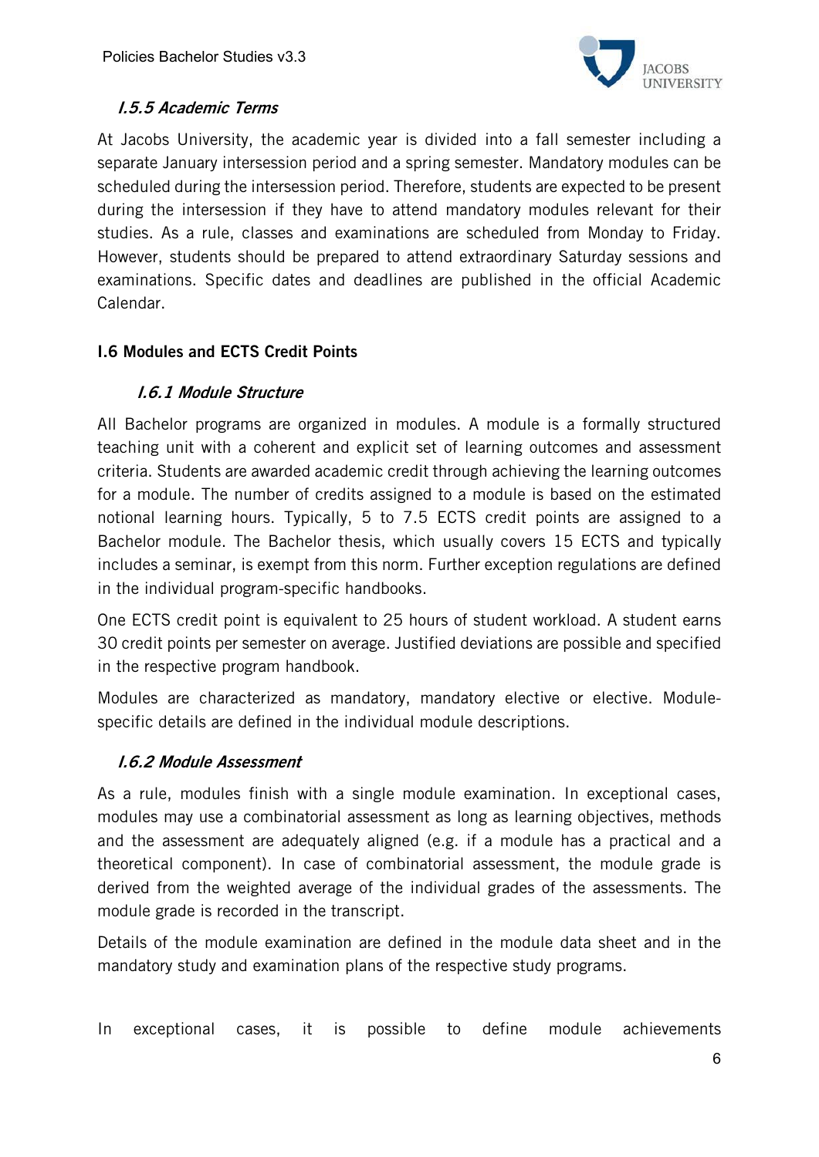

# I.5.5 Academic Terms

At Jacobs University, the academic year is divided into a fall semester including a separate January intersession period and a spring semester. Mandatory modules can be scheduled during the intersession period. Therefore, students are expected to be present during the intersession if they have to attend mandatory modules relevant for their studies. As a rule, classes and examinations are scheduled from Monday to Friday. However, students should be prepared to attend extraordinary Saturday sessions and examinations. Specific dates and deadlines are published in the official Academic Calendar.

# I.6 Modules and ECTS Credit Points

# I.6.1 Module Structure

All Bachelor programs are organized in modules. A module is a formally structured teaching unit with a coherent and explicit set of learning outcomes and assessment criteria. Students are awarded academic credit through achieving the learning outcomes for a module. The number of credits assigned to a module is based on the estimated notional learning hours. Typically, 5 to 7.5 ECTS credit points are assigned to a Bachelor module. The Bachelor thesis, which usually covers 15 ECTS and typically includes a seminar, is exempt from this norm. Further exception regulations are defined in the individual program-specific handbooks.

One ECTS credit point is equivalent to 25 hours of student workload. A student earns 30 credit points per semester on average. Justified deviations are possible and specified in the respective program handbook.

Modules are characterized as mandatory, mandatory elective or elective. Modulespecific details are defined in the individual module descriptions.

### I.6.2 Module Assessment

As a rule, modules finish with a single module examination. In exceptional cases, modules may use a combinatorial assessment as long as learning objectives, methods and the assessment are adequately aligned (e.g. if a module has a practical and a theoretical component). In case of combinatorial assessment, the module grade is derived from the weighted average of the individual grades of the assessments. The module grade is recorded in the transcript.

Details of the module examination are defined in the module data sheet and in the mandatory study and examination plans of the respective study programs.

In exceptional cases, it is possible to define module achievements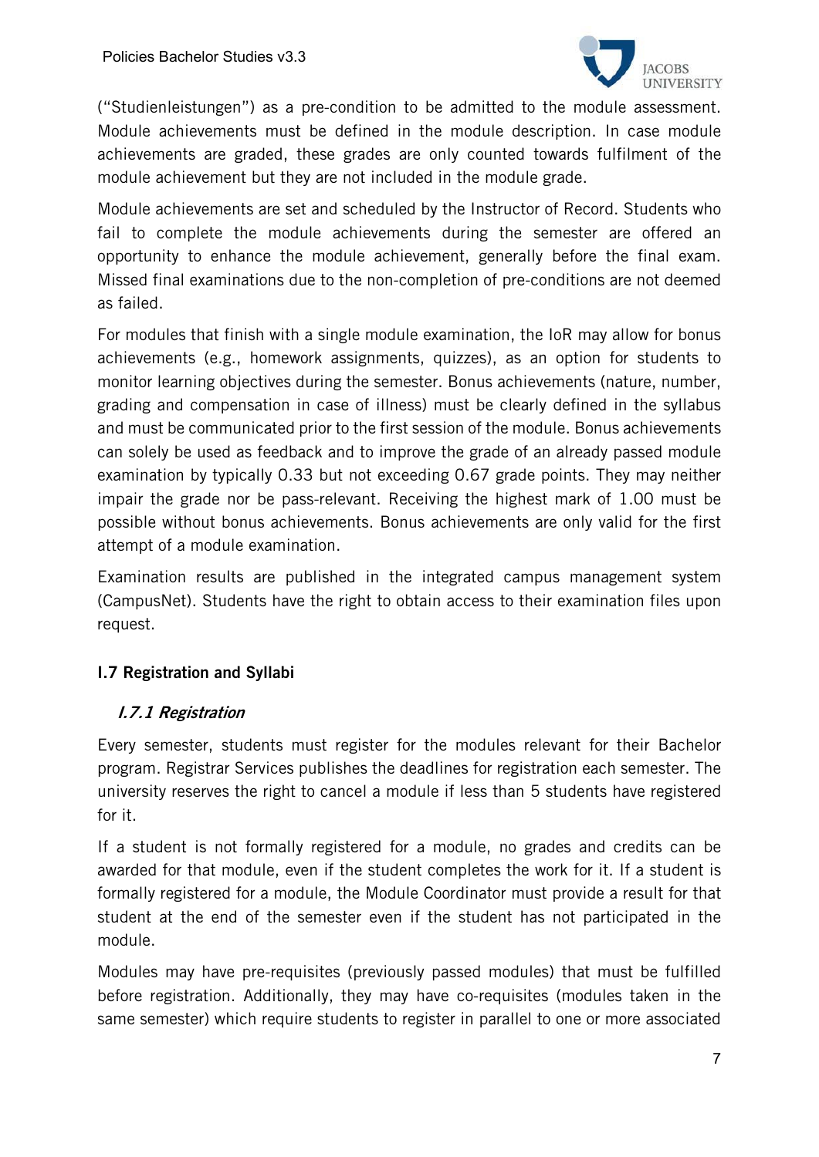

("Studienleistungen") as a pre-condition to be admitted to the module assessment. Module achievements must be defined in the module description. In case module achievements are graded, these grades are only counted towards fulfilment of the module achievement but they are not included in the module grade.

Module achievements are set and scheduled by the Instructor of Record. Students who fail to complete the module achievements during the semester are offered an opportunity to enhance the module achievement, generally before the final exam. Missed final examinations due to the non-completion of pre-conditions are not deemed as failed.

For modules that finish with a single module examination, the IoR may allow for bonus achievements (e.g., homework assignments, quizzes), as an option for students to monitor learning objectives during the semester. Bonus achievements (nature, number, grading and compensation in case of illness) must be clearly defined in the syllabus and must be communicated prior to the first session of the module. Bonus achievements can solely be used as feedback and to improve the grade of an already passed module examination by typically 0.33 but not exceeding 0.67 grade points. They may neither impair the grade nor be pass-relevant. Receiving the highest mark of 1.00 must be possible without bonus achievements. Bonus achievements are only valid for the first attempt of a module examination.

Examination results are published in the integrated campus management system (CampusNet). Students have the right to obtain access to their examination files upon request.

# I.7 Registration and Syllabi

### I.7.1 Registration

Every semester, students must register for the modules relevant for their Bachelor program. Registrar Services publishes the deadlines for registration each semester. The university reserves the right to cancel a module if less than 5 students have registered for it.

If a student is not formally registered for a module, no grades and credits can be awarded for that module, even if the student completes the work for it. If a student is formally registered for a module, the Module Coordinator must provide a result for that student at the end of the semester even if the student has not participated in the module.

Modules may have pre-requisites (previously passed modules) that must be fulfilled before registration. Additionally, they may have co-requisites (modules taken in the same semester) which require students to register in parallel to one or more associated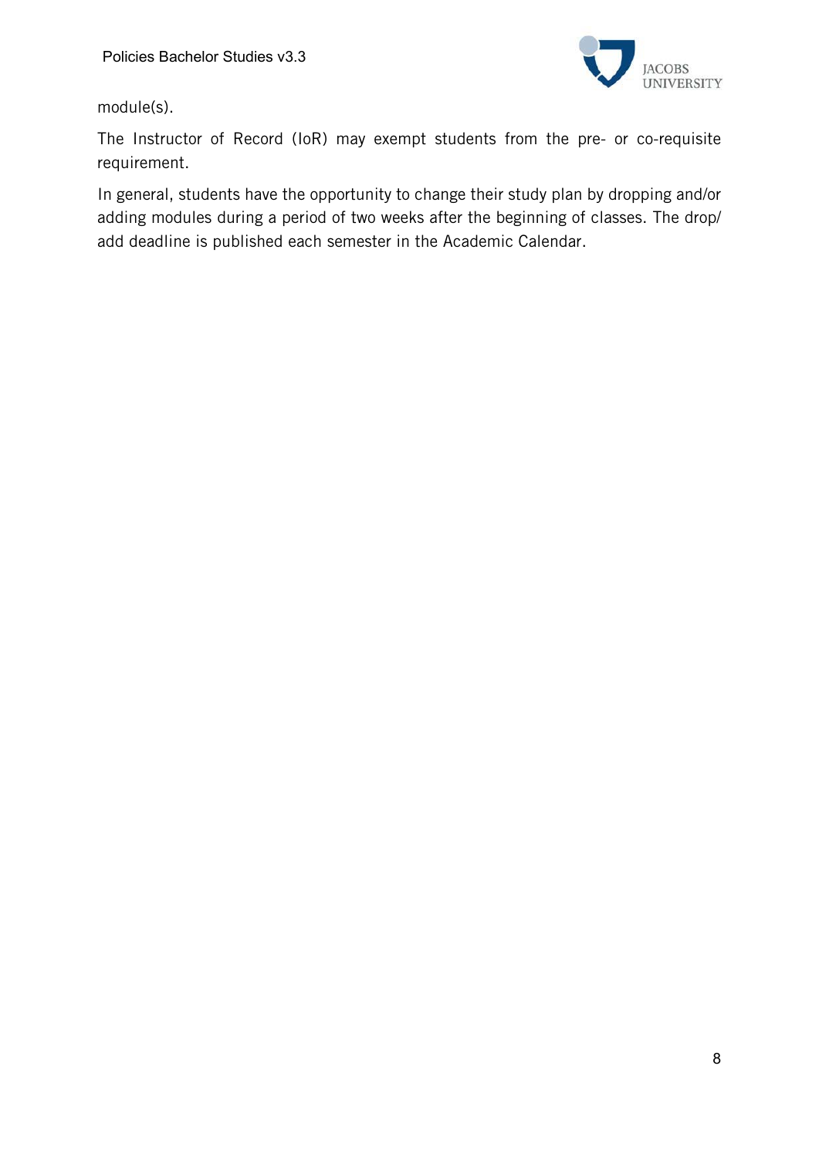

module(s).

The Instructor of Record (IoR) may exempt students from the pre- or co-requisite requirement.

In general, students have the opportunity to change their study plan by dropping and/or adding modules during a period of two weeks after the beginning of classes. The drop/ add deadline is published each semester in the Academic Calendar.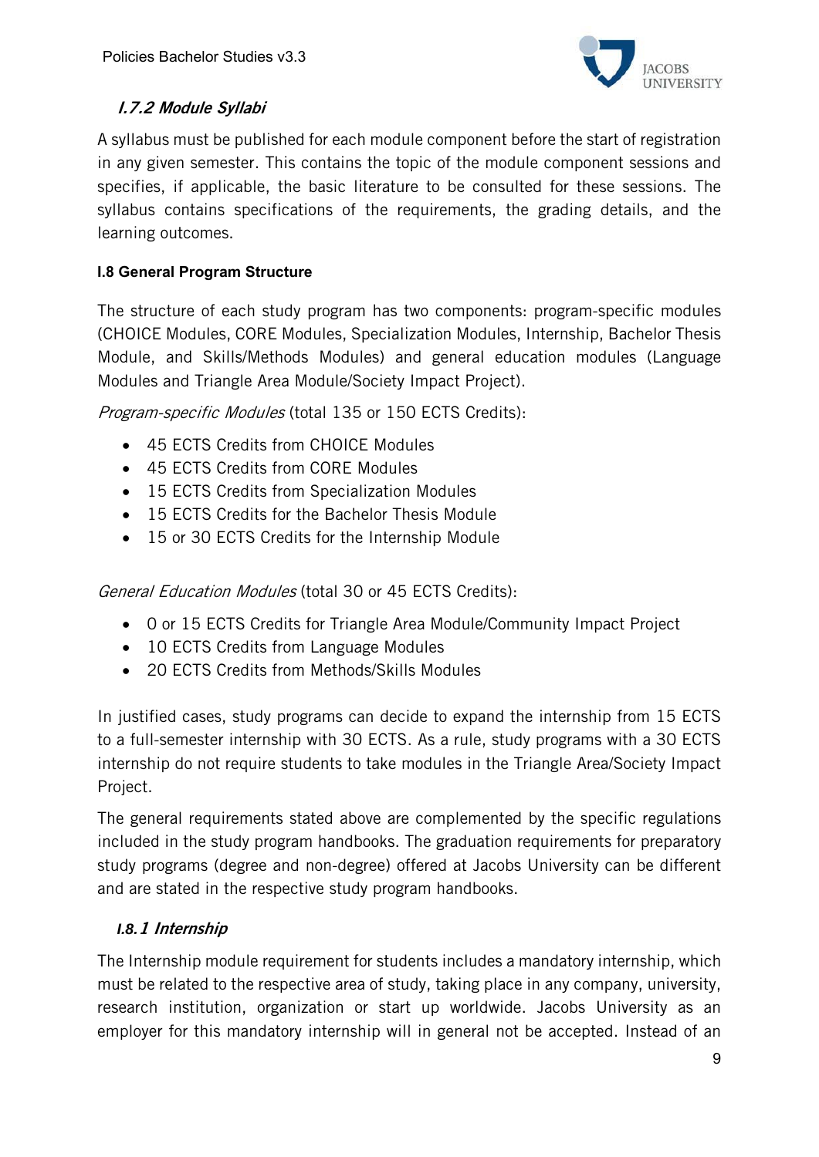

# I.7.2 Module Syllabi

A syllabus must be published for each module component before the start of registration in any given semester. This contains the topic of the module component sessions and specifies, if applicable, the basic literature to be consulted for these sessions. The syllabus contains specifications of the requirements, the grading details, and the learning outcomes.

# **I.8 General Program Structure**

The structure of each study program has two components: program-specific modules (CHOICE Modules, CORE Modules, Specialization Modules, Internship, Bachelor Thesis Module, and Skills/Methods Modules) and general education modules (Language Modules and Triangle Area Module/Society Impact Project).

Program-specific Modules (total 135 or 150 ECTS Credits):

- 45 ECTS Credits from CHOICE Modules
- 45 ECTS Credits from CORE Modules
- 15 ECTS Credits from Specialization Modules
- 15 ECTS Credits for the Bachelor Thesis Module
- 15 or 30 ECTS Credits for the Internship Module

General Education Modules (total 30 or 45 ECTS Credits):

- 0 or 15 ECTS Credits for Triangle Area Module/Community Impact Project
- 10 ECTS Credits from Language Modules
- 20 ECTS Credits from Methods/Skills Modules

In justified cases, study programs can decide to expand the internship from 15 ECTS to a full-semester internship with 30 ECTS. As a rule, study programs with a 30 ECTS internship do not require students to take modules in the Triangle Area/Society Impact Project.

The general requirements stated above are complemented by the specific regulations included in the study program handbooks. The graduation requirements for preparatory study programs (degree and non-degree) offered at Jacobs University can be different and are stated in the respective study program handbooks.

# *I.8.*1 Internship

The Internship module requirement for students includes a mandatory internship, which must be related to the respective area of study, taking place in any company, university, research institution, organization or start up worldwide. Jacobs University as an employer for this mandatory internship will in general not be accepted. Instead of an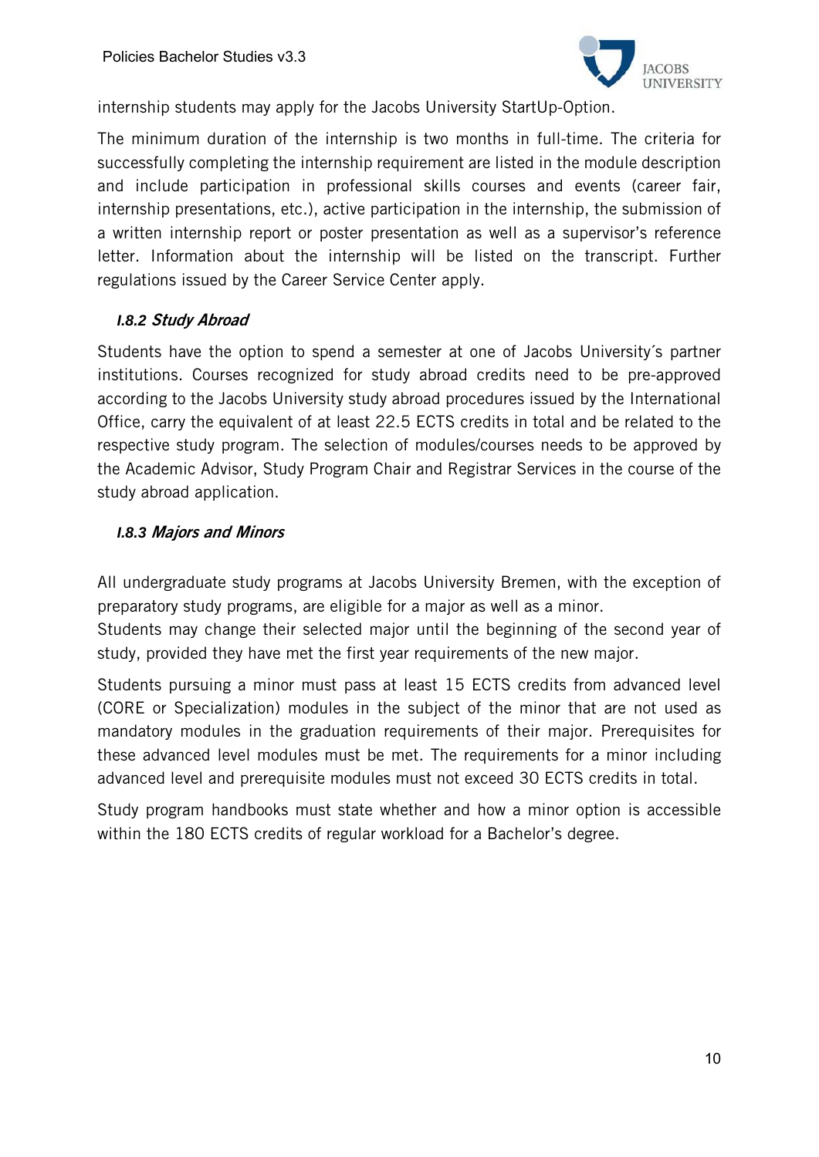

internship students may apply for the Jacobs University StartUp-Option.

The minimum duration of the internship is two months in full-time. The criteria for successfully completing the internship requirement are listed in the module description and include participation in professional skills courses and events (career fair, internship presentations, etc.), active participation in the internship, the submission of a written internship report or poster presentation as well as a supervisor's reference letter. Information about the internship will be listed on the transcript. Further regulations issued by the Career Service Center apply.

### *I.8.2* Study Abroad

Students have the option to spend a semester at one of Jacobs University´s partner institutions. Courses recognized for study abroad credits need to be pre-approved according to the Jacobs University study abroad procedures issued by the International Office, carry the equivalent of at least 22.5 ECTS credits in total and be related to the respective study program. The selection of modules/courses needs to be approved by the Academic Advisor, Study Program Chair and Registrar Services in the course of the study abroad application.

## *I.8.3* Majors and Minors

All undergraduate study programs at Jacobs University Bremen, with the exception of preparatory study programs, are eligible for a major as well as a minor.

Students may change their selected major until the beginning of the second year of study, provided they have met the first year requirements of the new major.

Students pursuing a minor must pass at least 15 ECTS credits from advanced level (CORE or Specialization) modules in the subject of the minor that are not used as mandatory modules in the graduation requirements of their major. Prerequisites for these advanced level modules must be met. The requirements for a minor including advanced level and prerequisite modules must not exceed 30 ECTS credits in total.

Study program handbooks must state whether and how a minor option is accessible within the 180 ECTS credits of regular workload for a Bachelor's degree.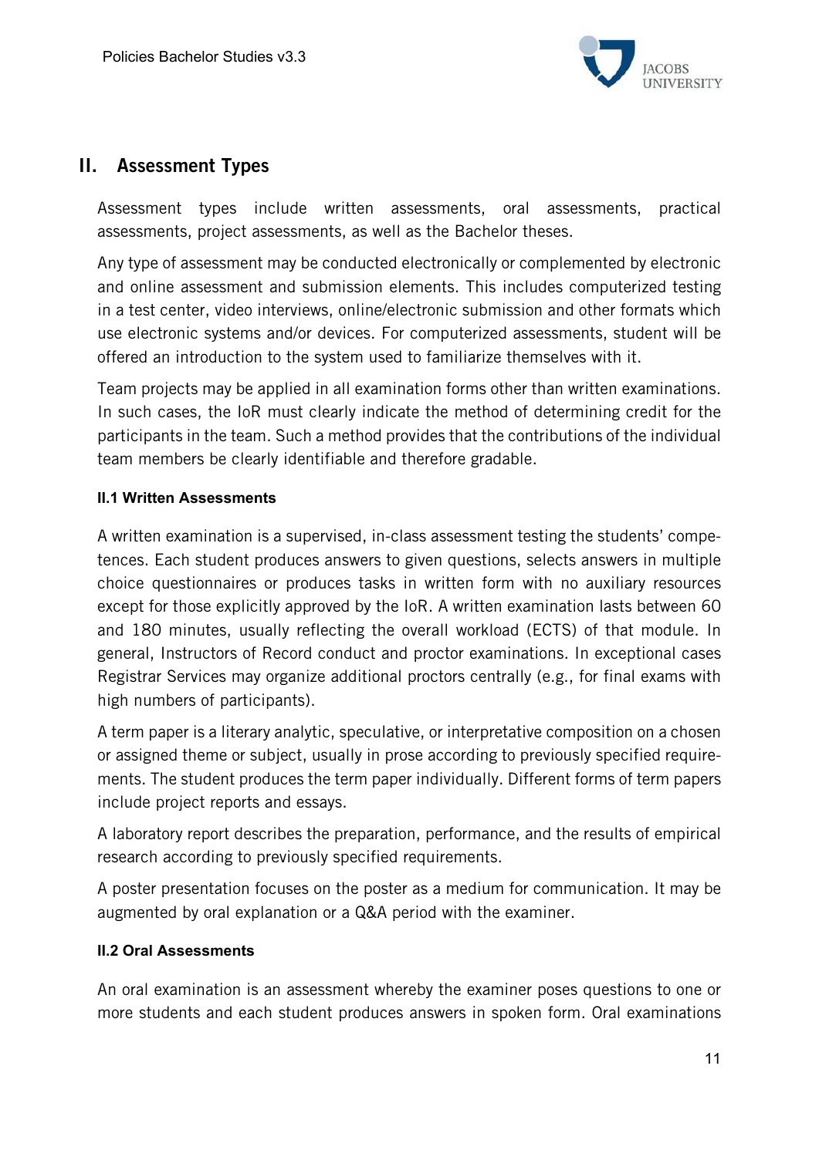

# II. Assessment Types

Assessment types include written assessments, oral assessments, practical assessments, project assessments, as well as the Bachelor theses.

Any type of assessment may be conducted electronically or complemented by electronic and online assessment and submission elements. This includes computerized testing in a test center, video interviews, online/electronic submission and other formats which use electronic systems and/or devices. For computerized assessments, student will be offered an introduction to the system used to familiarize themselves with it.

Team projects may be applied in all examination forms other than written examinations. In such cases, the IoR must clearly indicate the method of determining credit for the participants in the team. Such a method provides that the contributions of the individual team members be clearly identifiable and therefore gradable.

### **II.1 Written Assessments**

A written examination is a supervised, in-class assessment testing the students' competences. Each student produces answers to given questions, selects answers in multiple choice questionnaires or produces tasks in written form with no auxiliary resources except for those explicitly approved by the IoR. A written examination lasts between 60 and 180 minutes, usually reflecting the overall workload (ECTS) of that module. In general, Instructors of Record conduct and proctor examinations. In exceptional cases Registrar Services may organize additional proctors centrally (e.g., for final exams with high numbers of participants).

A term paper is a literary analytic, speculative, or interpretative composition on a chosen or assigned theme or subject, usually in prose according to previously specified requirements. The student produces the term paper individually. Different forms of term papers include project reports and essays.

A laboratory report describes the preparation, performance, and the results of empirical research according to previously specified requirements.

A poster presentation focuses on the poster as a medium for communication. It may be augmented by oral explanation or a Q&A period with the examiner.

### **II.2 Oral Assessments**

An oral examination is an assessment whereby the examiner poses questions to one or more students and each student produces answers in spoken form. Oral examinations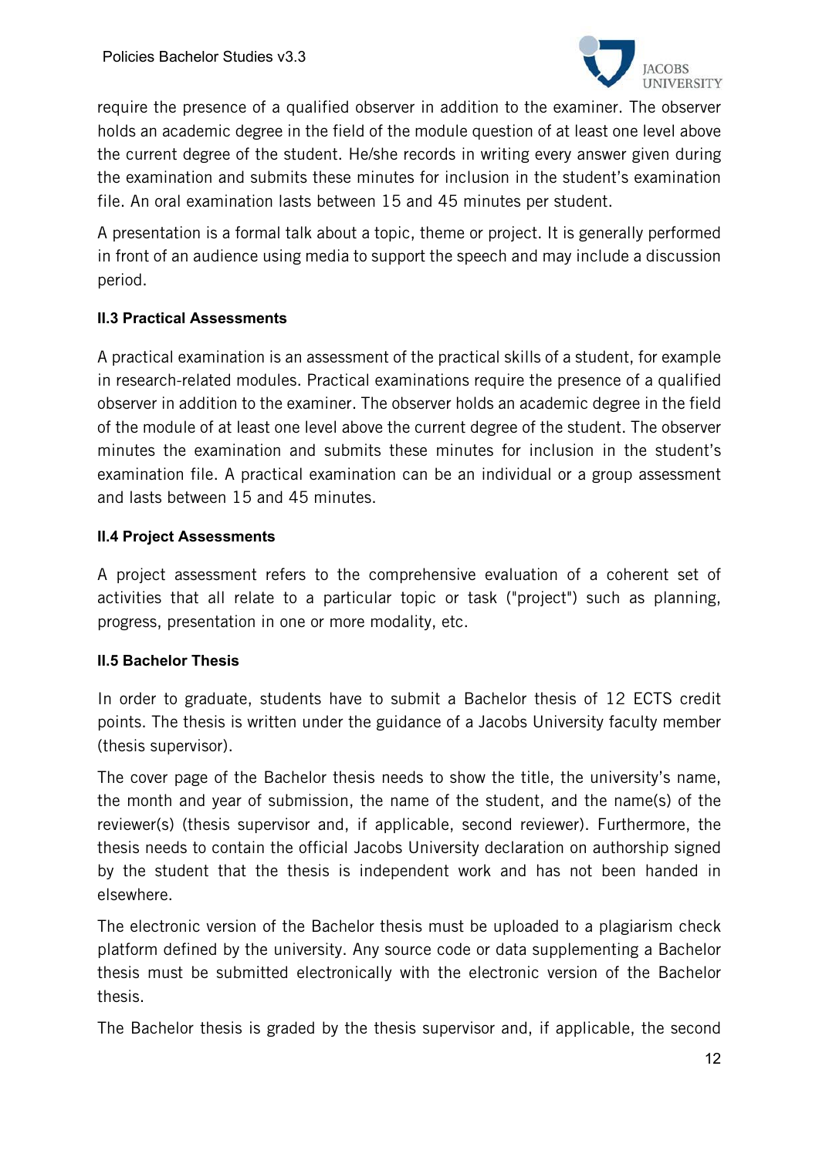

require the presence of a qualified observer in addition to the examiner. The observer holds an academic degree in the field of the module question of at least one level above the current degree of the student. He/she records in writing every answer given during the examination and submits these minutes for inclusion in the student's examination file. An oral examination lasts between 15 and 45 minutes per student.

A presentation is a formal talk about a topic, theme or project. It is generally performed in front of an audience using media to support the speech and may include a discussion period.

## **II.3 Practical Assessments**

A practical examination is an assessment of the practical skills of a student, for example in research-related modules. Practical examinations require the presence of a qualified observer in addition to the examiner. The observer holds an academic degree in the field of the module of at least one level above the current degree of the student. The observer minutes the examination and submits these minutes for inclusion in the student's examination file. A practical examination can be an individual or a group assessment and lasts between 15 and 45 minutes.

### **II.4 Project Assessments**

A project assessment refers to the comprehensive evaluation of a coherent set of activities that all relate to a particular topic or task ("project") such as planning, progress, presentation in one or more modality, etc.

### **II.5 Bachelor Thesis**

In order to graduate, students have to submit a Bachelor thesis of 12 ECTS credit points. The thesis is written under the guidance of a Jacobs University faculty member (thesis supervisor).

The cover page of the Bachelor thesis needs to show the title, the university's name, the month and year of submission, the name of the student, and the name(s) of the reviewer(s) (thesis supervisor and, if applicable, second reviewer). Furthermore, the thesis needs to contain the official Jacobs University declaration on authorship signed by the student that the thesis is independent work and has not been handed in elsewhere.

The electronic version of the Bachelor thesis must be uploaded to a plagiarism check platform defined by the university. Any source code or data supplementing a Bachelor thesis must be submitted electronically with the electronic version of the Bachelor thesis.

The Bachelor thesis is graded by the thesis supervisor and, if applicable, the second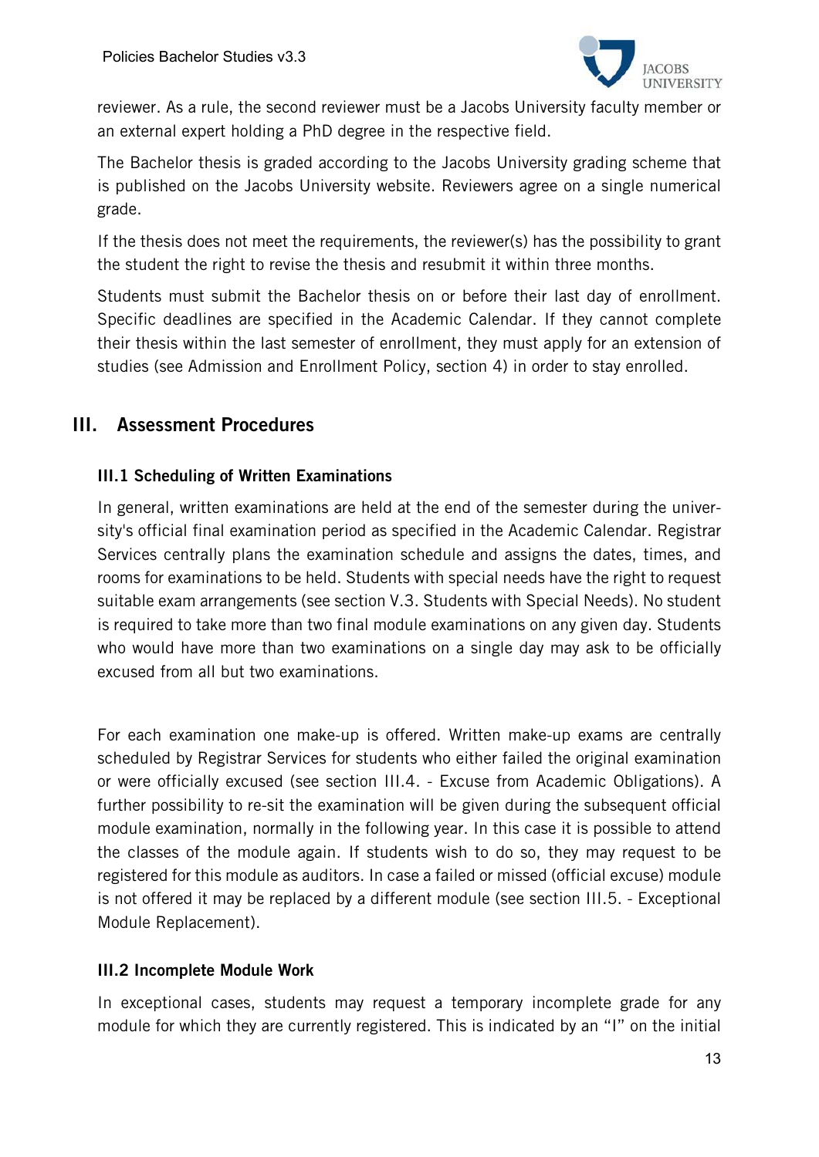

reviewer. As a rule, the second reviewer must be a Jacobs University faculty member or an external expert holding a PhD degree in the respective field.

The Bachelor thesis is graded according to the Jacobs University grading scheme that is published on the Jacobs University website. Reviewers agree on a single numerical grade.

If the thesis does not meet the requirements, the reviewer(s) has the possibility to grant the student the right to revise the thesis and resubmit it within three months.

Students must submit the Bachelor thesis on or before their last day of enrollment. Specific deadlines are specified in the Academic Calendar. If they cannot complete their thesis within the last semester of enrollment, they must apply for an extension of studies (see Admission and Enrollment Policy, section 4) in order to stay enrolled.

# III. Assessment Procedures

## III.1 Scheduling of Written Examinations

In general, written examinations are held at the end of the semester during the university's official final examination period as specified in the Academic Calendar. Registrar Services centrally plans the examination schedule and assigns the dates, times, and rooms for examinations to be held. Students with special needs have the right to request suitable exam arrangements (see section V.3. Students with Special Needs). No student is required to take more than two final module examinations on any given day. Students who would have more than two examinations on a single day may ask to be officially excused from all but two examinations.

For each examination one make-up is offered. Written make-up exams are centrally scheduled by Registrar Services for students who either failed the original examination or were officially excused (see section III.4. - Excuse from Academic Obligations). A further possibility to re-sit the examination will be given during the subsequent official module examination, normally in the following year. In this case it is possible to attend the classes of the module again. If students wish to do so, they may request to be registered for this module as auditors. In case a failed or missed (official excuse) module is not offered it may be replaced by a different module (see section III.5. - Exceptional Module Replacement).

### III.2 Incomplete Module Work

In exceptional cases, students may request a temporary incomplete grade for any module for which they are currently registered. This is indicated by an "I" on the initial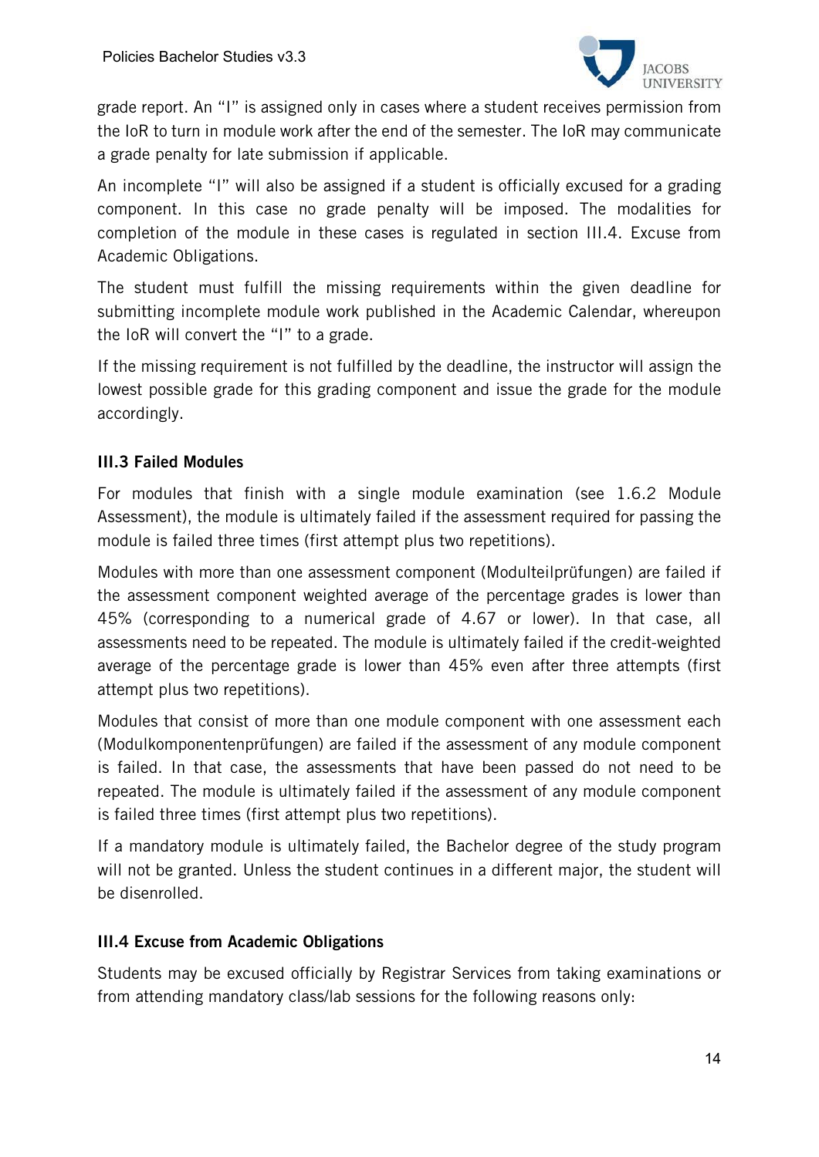

grade report. An "I" is assigned only in cases where a student receives permission from the IoR to turn in module work after the end of the semester. The IoR may communicate a grade penalty for late submission if applicable.

An incomplete "I" will also be assigned if a student is officially excused for a grading component. In this case no grade penalty will be imposed. The modalities for completion of the module in these cases is regulated in section III.4. Excuse from Academic Obligations.

The student must fulfill the missing requirements within the given deadline for submitting incomplete module work published in the Academic Calendar, whereupon the IoR will convert the "I" to a grade.

If the missing requirement is not fulfilled by the deadline, the instructor will assign the lowest possible grade for this grading component and issue the grade for the module accordingly.

# III.3 Failed Modules

For modules that finish with a single module examination (see 1.6.2 Module Assessment), the module is ultimately failed if the assessment required for passing the module is failed three times (first attempt plus two repetitions).

Modules with more than one assessment component (Modulteilprüfungen) are failed if the assessment component weighted average of the percentage grades is lower than 45% (corresponding to a numerical grade of 4.67 or lower). In that case, all assessments need to be repeated. The module is ultimately failed if the credit-weighted average of the percentage grade is lower than 45% even after three attempts (first attempt plus two repetitions).

Modules that consist of more than one module component with one assessment each (Modulkomponentenprüfungen) are failed if the assessment of any module component is failed. In that case, the assessments that have been passed do not need to be repeated. The module is ultimately failed if the assessment of any module component is failed three times (first attempt plus two repetitions).

If a mandatory module is ultimately failed, the Bachelor degree of the study program will not be granted. Unless the student continues in a different major, the student will be disenrolled.

### III.4 Excuse from Academic Obligations

Students may be excused officially by Registrar Services from taking examinations or from attending mandatory class/lab sessions for the following reasons only: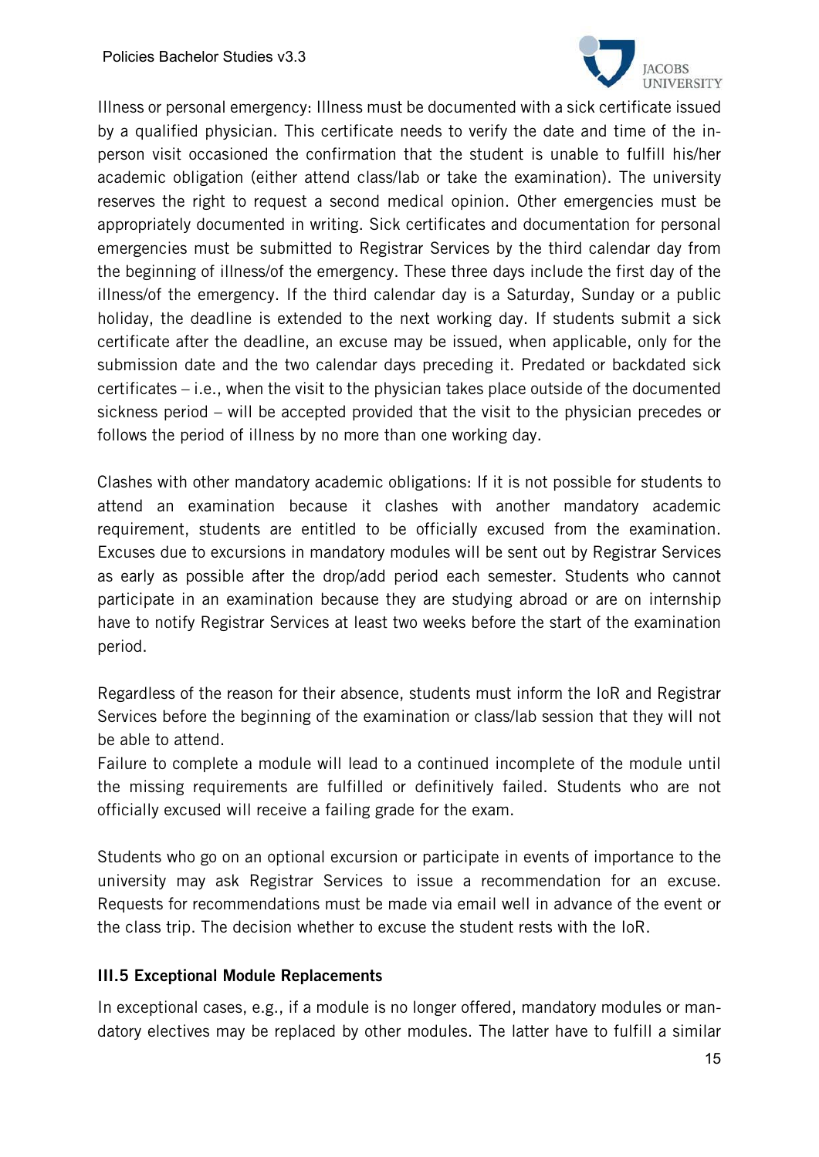

Illness or personal emergency: Illness must be documented with a sick certificate issued by a qualified physician. This certificate needs to verify the date and time of the inperson visit occasioned the confirmation that the student is unable to fulfill his/her academic obligation (either attend class/lab or take the examination). The university reserves the right to request a second medical opinion. Other emergencies must be appropriately documented in writing. Sick certificates and documentation for personal emergencies must be submitted to Registrar Services by the third calendar day from the beginning of illness/of the emergency. These three days include the first day of the illness/of the emergency. If the third calendar day is a Saturday, Sunday or a public holiday, the deadline is extended to the next working day. If students submit a sick certificate after the deadline, an excuse may be issued, when applicable, only for the submission date and the two calendar days preceding it. Predated or backdated sick certificates – i.e., when the visit to the physician takes place outside of the documented sickness period – will be accepted provided that the visit to the physician precedes or follows the period of illness by no more than one working day.

Clashes with other mandatory academic obligations: If it is not possible for students to attend an examination because it clashes with another mandatory academic requirement, students are entitled to be officially excused from the examination. Excuses due to excursions in mandatory modules will be sent out by Registrar Services as early as possible after the drop/add period each semester. Students who cannot participate in an examination because they are studying abroad or are on internship have to notify Registrar Services at least two weeks before the start of the examination period.

Regardless of the reason for their absence, students must inform the IoR and Registrar Services before the beginning of the examination or class/lab session that they will not be able to attend.

Failure to complete a module will lead to a continued incomplete of the module until the missing requirements are fulfilled or definitively failed. Students who are not officially excused will receive a failing grade for the exam.

Students who go on an optional excursion or participate in events of importance to the university may ask Registrar Services to issue a recommendation for an excuse. Requests for recommendations must be made via email well in advance of the event or the class trip. The decision whether to excuse the student rests with the IoR.

### III.5 Exceptional Module Replacements

In exceptional cases, e.g., if a module is no longer offered, mandatory modules or mandatory electives may be replaced by other modules. The latter have to fulfill a similar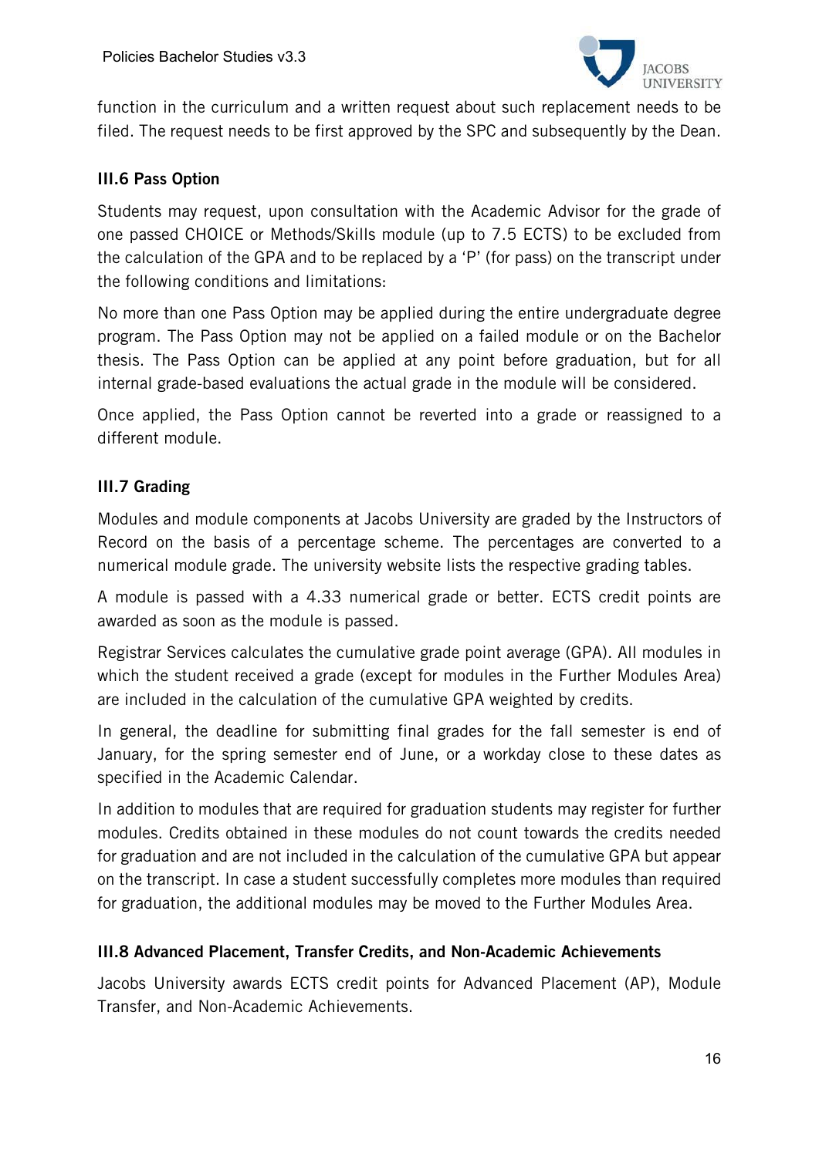

function in the curriculum and a written request about such replacement needs to be filed. The request needs to be first approved by the SPC and subsequently by the Dean.

## III.6 Pass Option

Students may request, upon consultation with the Academic Advisor for the grade of one passed CHOICE or Methods/Skills module (up to 7.5 ECTS) to be excluded from the calculation of the GPA and to be replaced by a 'P' (for pass) on the transcript under the following conditions and limitations:

No more than one Pass Option may be applied during the entire undergraduate degree program. The Pass Option may not be applied on a failed module or on the Bachelor thesis. The Pass Option can be applied at any point before graduation, but for all internal grade-based evaluations the actual grade in the module will be considered.

Once applied, the Pass Option cannot be reverted into a grade or reassigned to a different module.

# III.7 Grading

Modules and module components at Jacobs University are graded by the Instructors of Record on the basis of a percentage scheme. The percentages are converted to a numerical module grade. The university website lists the respective grading tables.

A module is passed with a 4.33 numerical grade or better. ECTS credit points are awarded as soon as the module is passed.

Registrar Services calculates the cumulative grade point average (GPA). All modules in which the student received a grade (except for modules in the Further Modules Area) are included in the calculation of the cumulative GPA weighted by credits.

In general, the deadline for submitting final grades for the fall semester is end of January, for the spring semester end of June, or a workday close to these dates as specified in the Academic Calendar.

In addition to modules that are required for graduation students may register for further modules. Credits obtained in these modules do not count towards the credits needed for graduation and are not included in the calculation of the cumulative GPA but appear on the transcript. In case a student successfully completes more modules than required for graduation, the additional modules may be moved to the Further Modules Area.

### III.8 Advanced Placement, Transfer Credits, and Non-Academic Achievements

Jacobs University awards ECTS credit points for Advanced Placement (AP), Module Transfer, and Non-Academic Achievements.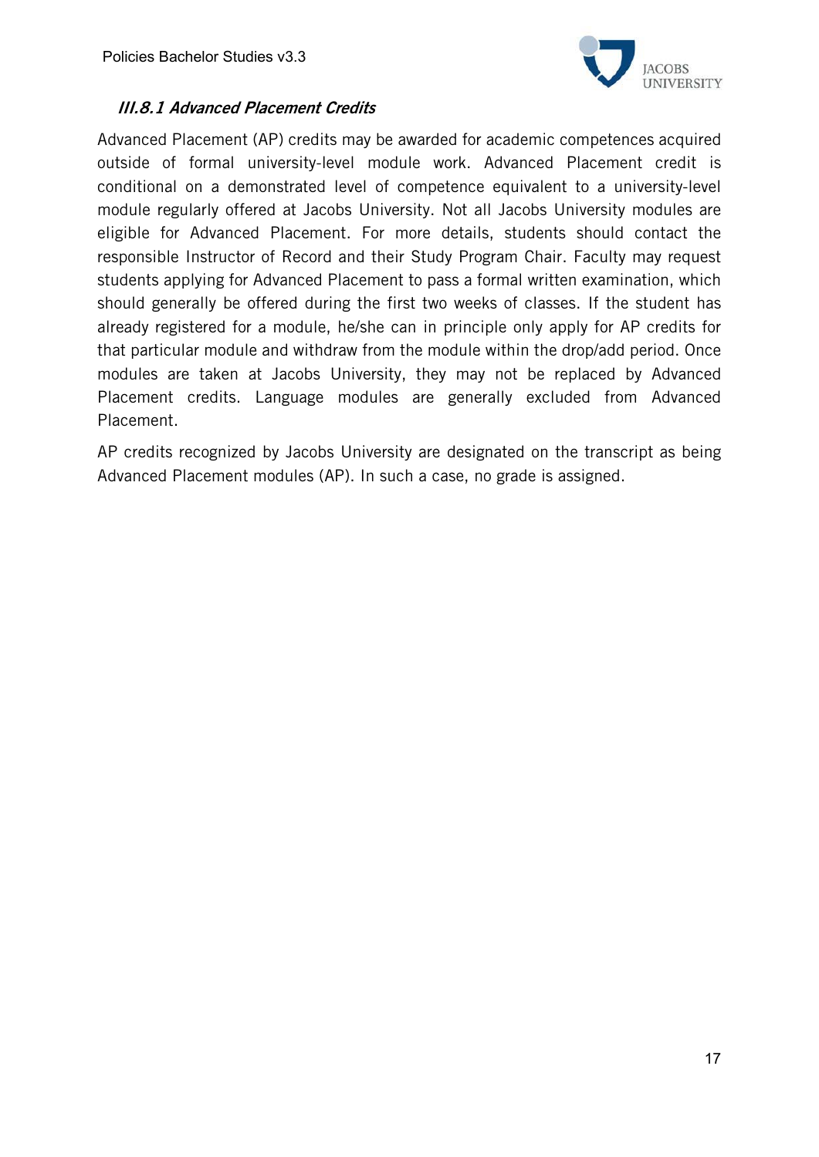

# III.8.1 Advanced Placement Credits

Advanced Placement (AP) credits may be awarded for academic competences acquired outside of formal university-level module work. Advanced Placement credit is conditional on a demonstrated level of competence equivalent to a university-level module regularly offered at Jacobs University. Not all Jacobs University modules are eligible for Advanced Placement. For more details, students should contact the responsible Instructor of Record and their Study Program Chair. Faculty may request students applying for Advanced Placement to pass a formal written examination, which should generally be offered during the first two weeks of classes. If the student has already registered for a module, he/she can in principle only apply for AP credits for that particular module and withdraw from the module within the drop/add period. Once modules are taken at Jacobs University, they may not be replaced by Advanced Placement credits. Language modules are generally excluded from Advanced Placement.

AP credits recognized by Jacobs University are designated on the transcript as being Advanced Placement modules (AP). In such a case, no grade is assigned.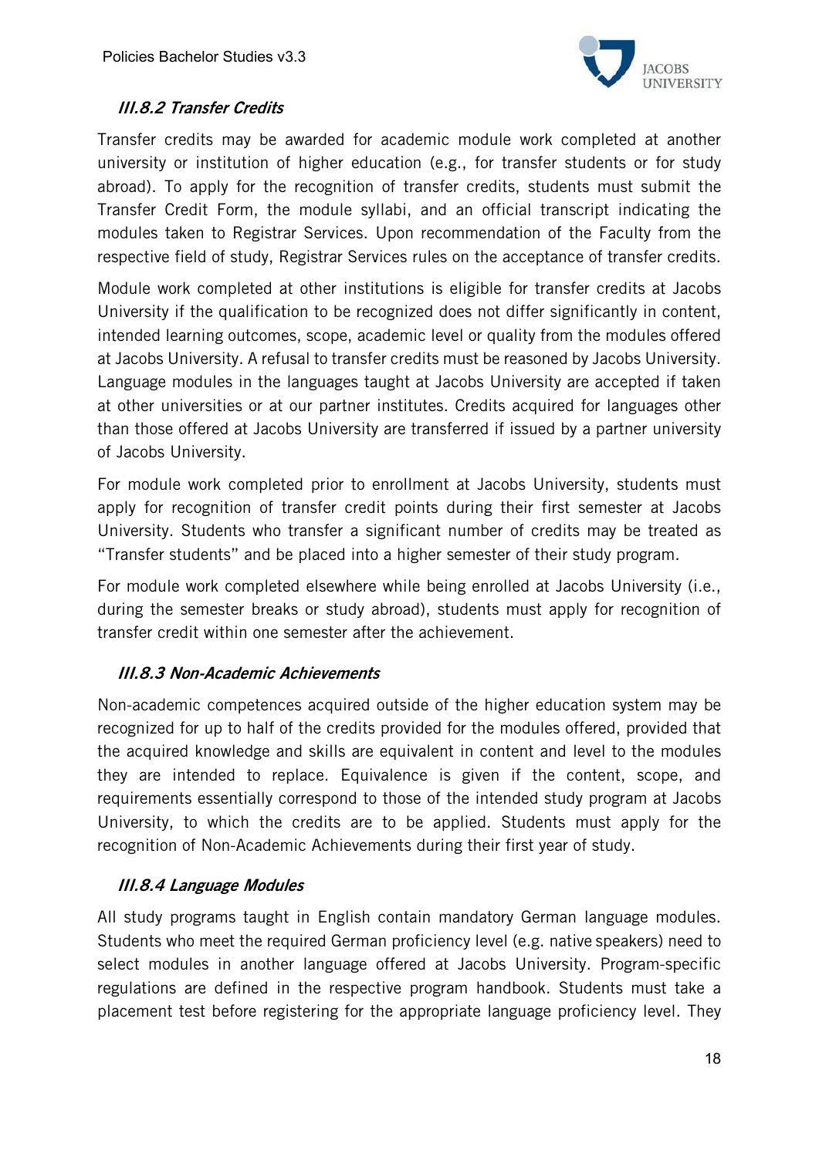

# III.8.2 Transfer Credits

Transfer credits may be awarded for academic module work completed at another university or institution of higher education (e.g., for transfer students or for study abroad). To apply for the recognition of transfer credits, students must submit the Transfer Credit Form, the module syllabi, and an official transcript indicating the modules taken to Registrar Services. Upon recommendation of the Faculty from the respective field of study, Registrar Services rules on the acceptance of transfer credits.

Module work completed at other institutions is eligible for transfer credits at Jacobs University if the qualification to be recognized does not differ significantly in content, intended learning outcomes, scope, academic level or quality from the modules offered at Jacobs University. A refusal to transfer credits must be reasoned by Jacobs University. Language modules in the languages taught at Jacobs University are accepted if taken at other universities or at our partner institutes. Credits acquired for languages other than those offered at Jacobs University are transferred if issued by a partner university of Jacobs University.

For module work completed prior to enrollment at Jacobs University, students must apply for recognition of transfer credit points during their first semester at Jacobs University. Students who transfer a significant number of credits may be treated as "Transfer students" and be placed into a higher semester of their study program.

For module work completed elsewhere while being enrolled at Jacobs University (i.e., during the semester breaks or study abroad), students must apply for recognition of transfer credit within one semester after the achievement.

### III.8.3 Non-Academic Achievements

Non-academic competences acquired outside of the higher education system may be recognized for up to half of the credits provided for the modules offered, provided that the acquired knowledge and skills are equivalent in content and level to the modules they are intended to replace. Equivalence is given if the content, scope, and requirements essentially correspond to those of the intended study program at Jacobs University, to which the credits are to be applied. Students must apply for the recognition of Non-Academic Achievements during their first year of study.

### III.8.4 Language Modules

All study programs taught in English contain mandatory German language modules. Students who meet the required German proficiency level (e.g. native speakers) need to select modules in another language offered at Jacobs University. Program-specific regulations are defined in the respective program handbook. Students must take a placement test before registering for the appropriate language proficiency level. They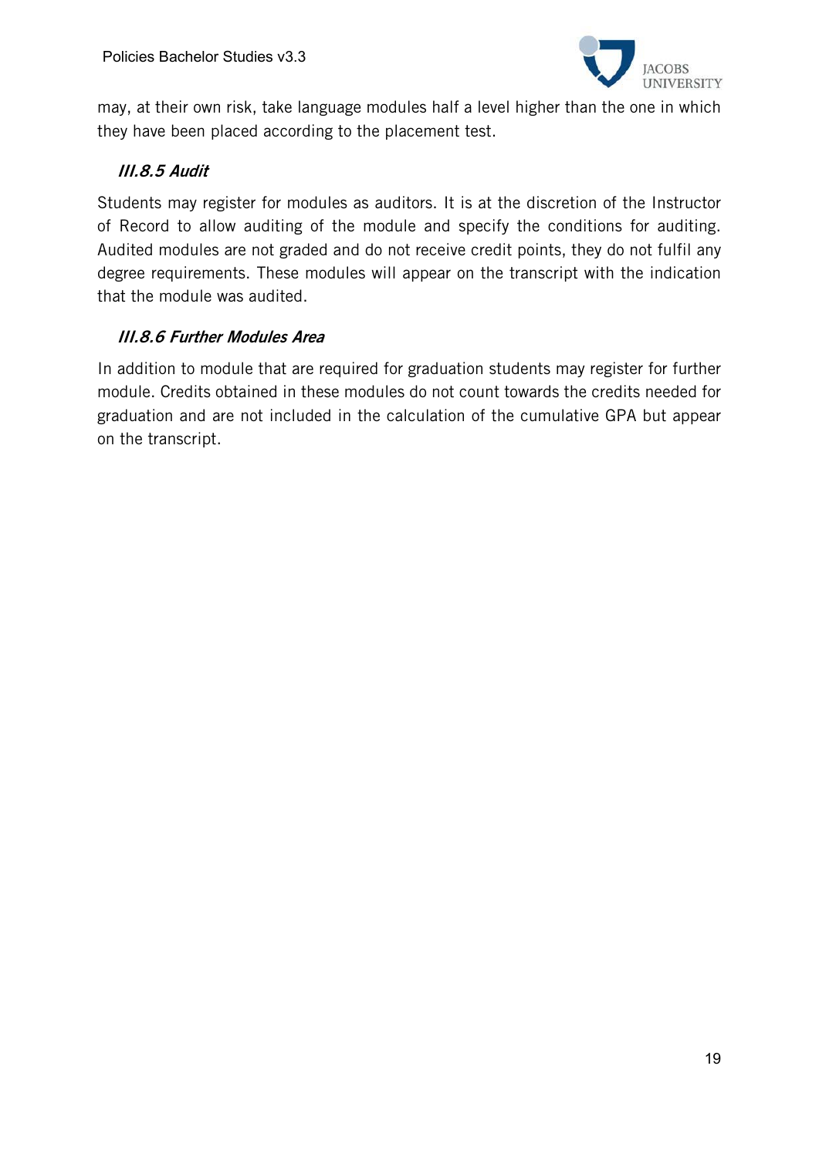

may, at their own risk, take language modules half a level higher than the one in which they have been placed according to the placement test.

# III.8.5 Audit

Students may register for modules as auditors. It is at the discretion of the Instructor of Record to allow auditing of the module and specify the conditions for auditing. Audited modules are not graded and do not receive credit points, they do not fulfil any degree requirements. These modules will appear on the transcript with the indication that the module was audited.

# III.8.6 Further Modules Area

In addition to module that are required for graduation students may register for further module. Credits obtained in these modules do not count towards the credits needed for graduation and are not included in the calculation of the cumulative GPA but appear on the transcript.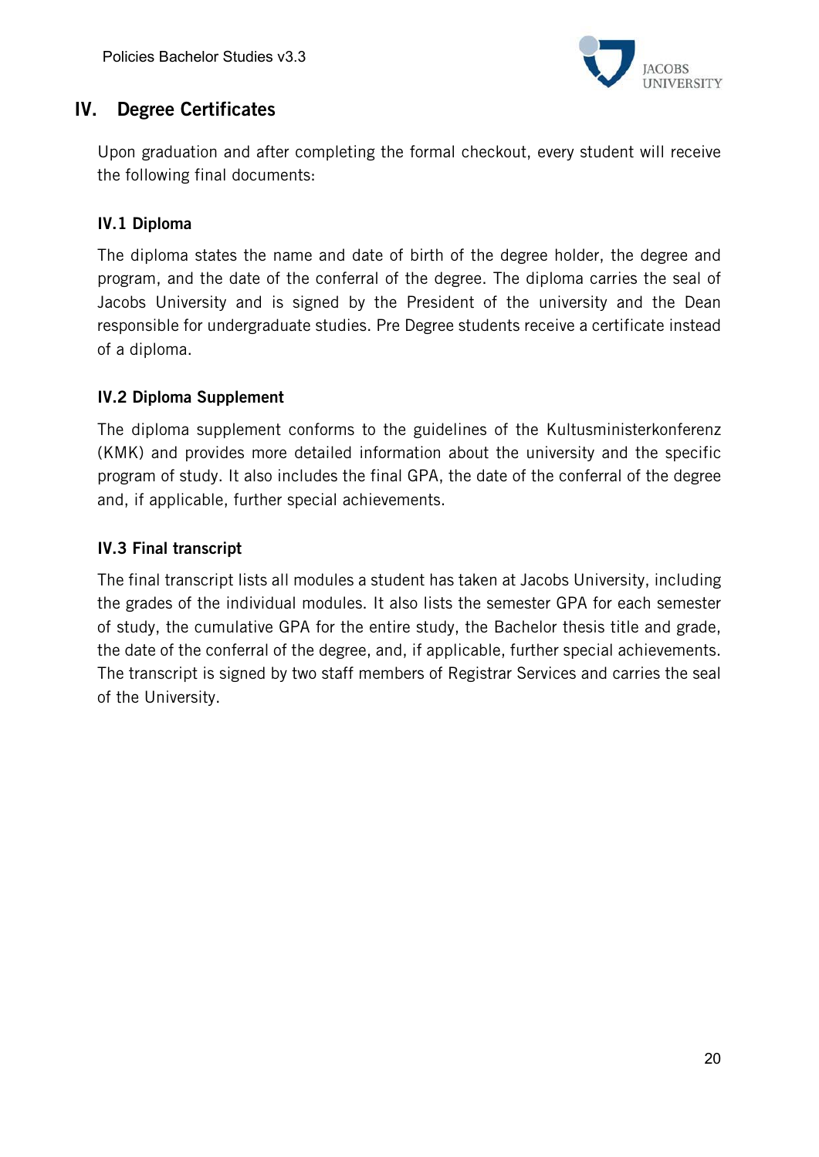

# IV. Degree Certificates

Upon graduation and after completing the formal checkout, every student will receive the following final documents:

# IV.1 Diploma

The diploma states the name and date of birth of the degree holder, the degree and program, and the date of the conferral of the degree. The diploma carries the seal of Jacobs University and is signed by the President of the university and the Dean responsible for undergraduate studies. Pre Degree students receive a certificate instead of a diploma.

## IV.2 Diploma Supplement

The diploma supplement conforms to the guidelines of the Kultusministerkonferenz (KMK) and provides more detailed information about the university and the specific program of study. It also includes the final GPA, the date of the conferral of the degree and, if applicable, further special achievements.

### IV.3 Final transcript

The final transcript lists all modules a student has taken at Jacobs University, including the grades of the individual modules. It also lists the semester GPA for each semester of study, the cumulative GPA for the entire study, the Bachelor thesis title and grade, the date of the conferral of the degree, and, if applicable, further special achievements. The transcript is signed by two staff members of Registrar Services and carries the seal of the University.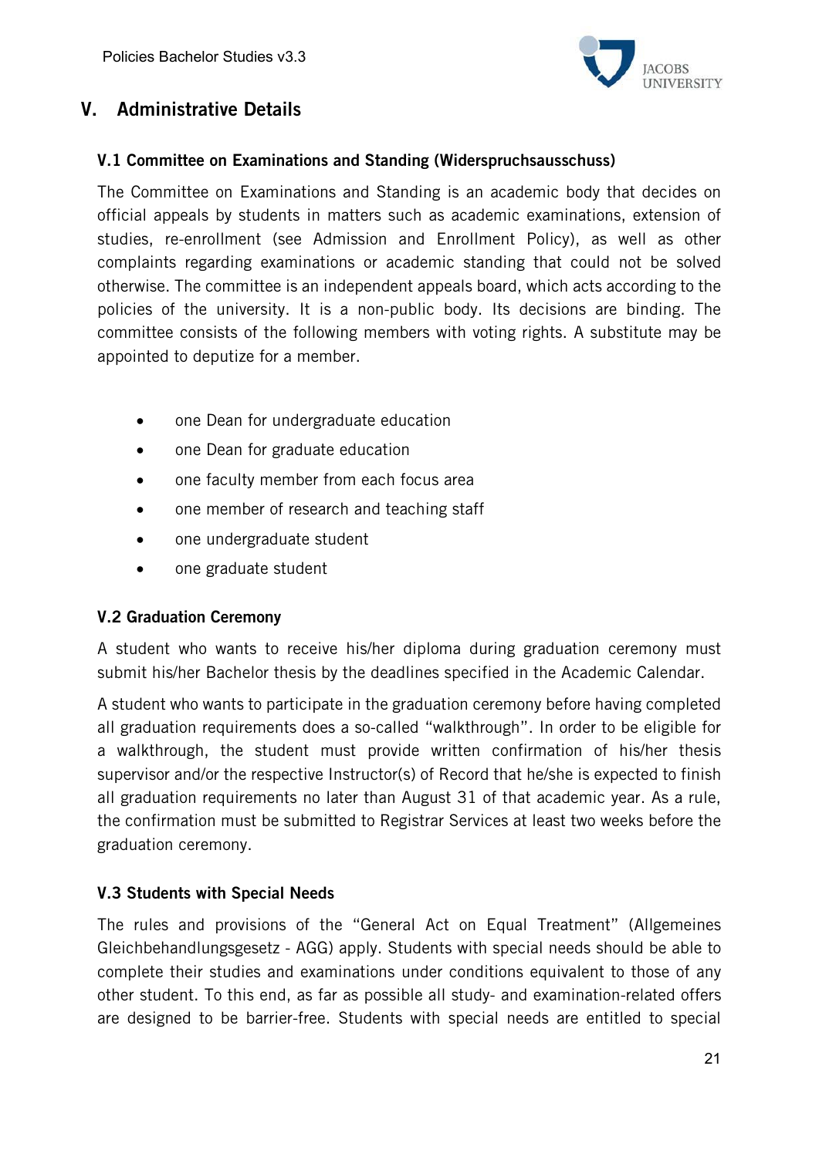

# V. Administrative Details

### V.1 Committee on Examinations and Standing (Widerspruchsausschuss)

The Committee on Examinations and Standing is an academic body that decides on official appeals by students in matters such as academic examinations, extension of studies, re-enrollment (see Admission and Enrollment Policy), as well as other complaints regarding examinations or academic standing that could not be solved otherwise. The committee is an independent appeals board, which acts according to the policies of the university. It is a non-public body. Its decisions are binding. The committee consists of the following members with voting rights. A substitute may be appointed to deputize for a member.

- one Dean for undergraduate education
- one Dean for graduate education
- one faculty member from each focus area
- one member of research and teaching staff
- one undergraduate student
- one graduate student

### V.2 Graduation Ceremony

A student who wants to receive his/her diploma during graduation ceremony must submit his/her Bachelor thesis by the deadlines specified in the Academic Calendar.

A student who wants to participate in the graduation ceremony before having completed all graduation requirements does a so-called "walkthrough". In order to be eligible for a walkthrough, the student must provide written confirmation of his/her thesis supervisor and/or the respective Instructor(s) of Record that he/she is expected to finish all graduation requirements no later than August 31 of that academic year. As a rule, the confirmation must be submitted to Registrar Services at least two weeks before the graduation ceremony.

# V.3 Students with Special Needs

The rules and provisions of the "General Act on Equal Treatment" (Allgemeines Gleichbehandlungsgesetz - AGG) apply. Students with special needs should be able to complete their studies and examinations under conditions equivalent to those of any other student. To this end, as far as possible all study- and examination-related offers are designed to be barrier-free. Students with special needs are entitled to special